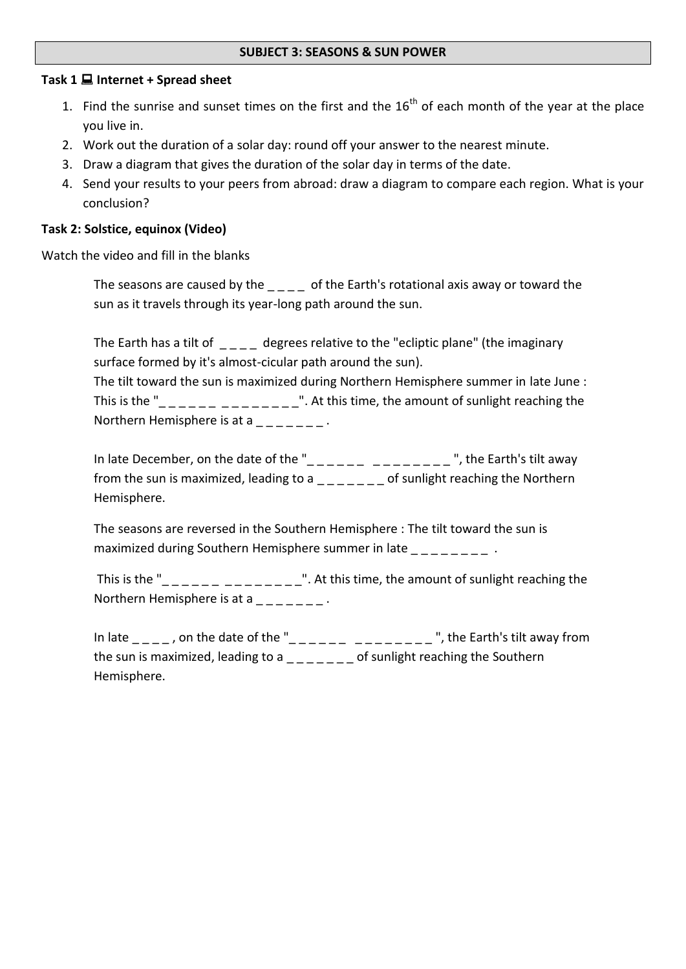#### **SUBJECT 3: SEASONS & SUN POWER**

#### **Task 1 Internet + Spread sheet**

- 1. Find the sunrise and sunset times on the first and the  $16<sup>th</sup>$  of each month of the year at the place you live in.
- 2. Work out the duration of a solar day: round off your answer to the nearest minute.
- 3. Draw a diagram that gives the duration of the solar day in terms of the date.
- 4. Send your results to your peers from abroad: draw a diagram to compare each region. What is your conclusion?

### **Task 2: Solstice, equinox (Video)**

Watch the video and fill in the blanks

The seasons are caused by the \_ \_ \_ \_ of the Earth's rotational axis away or toward the sun as it travels through its year-long path around the sun.

The Earth has a tilt of degrees relative to the "ecliptic plane" (the imaginary surface formed by it's almost-cicular path around the sun). The tilt toward the sun is maximized during Northern Hemisphere summer in late June : This is the " $\frac{1}{2}$   $\frac{1}{2}$   $\frac{1}{2}$   $\frac{1}{2}$   $\frac{1}{2}$   $\frac{1}{2}$   $\frac{1}{2}$   $\frac{1}{2}$ . At this time, the amount of sunlight reaching the

Northern Hemisphere is at  $a_{\text{unif}} = a_{\text{unif}}$ .

In late December, on the date of the " $\frac{1}{2}$   $\frac{1}{2}$   $\frac{1}{2}$   $\frac{1}{2}$   $\frac{1}{2}$   $\frac{1}{2}$   $\frac{1}{2}$   $\frac{1}{2}$   $\frac{1}{2}$   $\frac{1}{2}$   $\frac{1}{2}$   $\frac{1}{2}$   $\frac{1}{2}$   $\frac{1}{2}$   $\frac{1}{2}$   $\frac{1}{2}$   $\frac{1}{2}$   $\frac{1}{2}$   $\frac$ from the sun is maximized, leading to a  $\angle$   $\angle$   $\angle$   $\angle$   $\angle$   $\angle$   $\angle$  of sunlight reaching the Northern Hemisphere.

The seasons are reversed in the Southern Hemisphere : The tilt toward the sun is maximized during Southern Hemisphere summer in late  $\frac{1}{2}$  =  $\frac{1}{2}$  =  $\frac{1}{2}$  =  $\frac{1}{2}$  .

This is the "\_ \_ \_ \_ \_ \_ \_ \_ \_ \_ \_ \_ \_ \_". At this time, the amount of sunlight reaching the Northern Hemisphere is at a  $\blacksquare$ .

In late \_ \_ \_ \_ , on the date of the "\_ \_ \_ \_ \_ \_ \_ \_ \_ \_ \_ \_ \_ \_ ", the Earth's tilt away from the sun is maximized, leading to a  $\mu$   $\mu$   $\mu$   $\mu$   $\mu$  of sunlight reaching the Southern Hemisphere.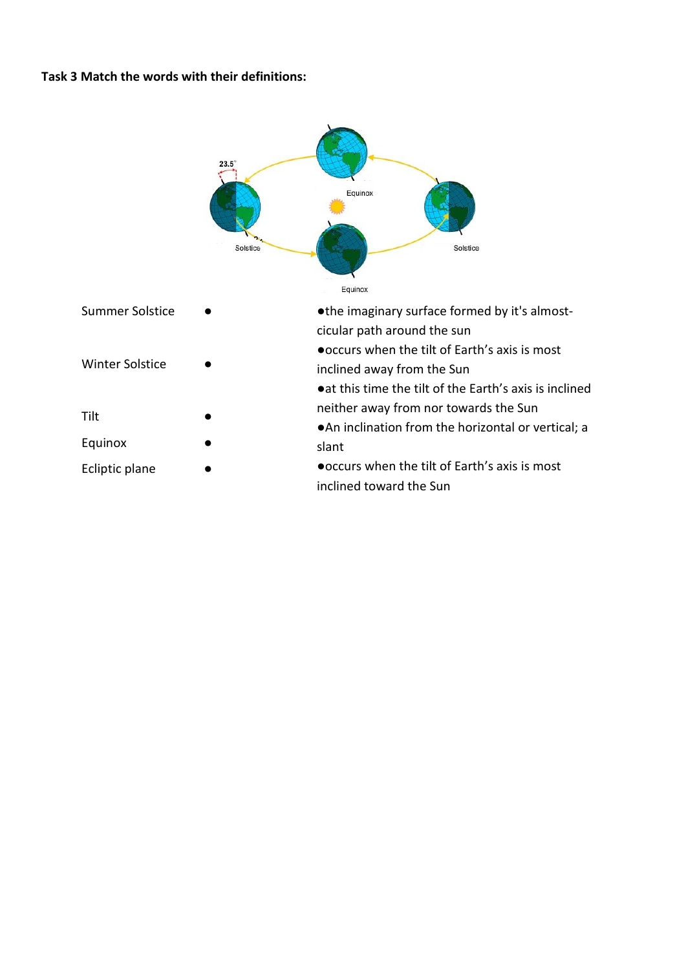#### **Task 3 Match the words with their definitions:**

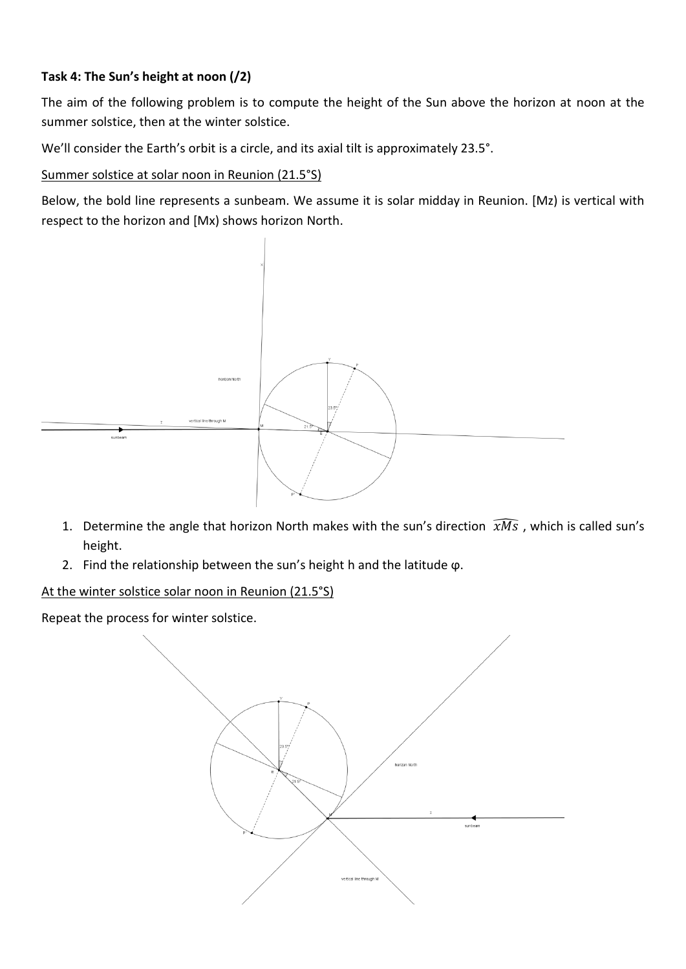# **Task 4: The Sun's height at noon (/2)**

The aim of the following problem is to compute the height of the Sun above the horizon at noon at the summer solstice, then at the winter solstice.

We'll consider the Earth's orbit is a circle, and its axial tilt is approximately 23.5°.

### Summer solstice at solar noon in Reunion (21.5°S)

Below, the bold line represents a sunbeam. We assume it is solar midday in Reunion. [Mz) is vertical with respect to the horizon and [Mx) shows horizon North.



- 1. Determine the angle that horizon North makes with the sun's direction  $\widehat{xMS}$ , which is called sun's height.
- 2. Find the relationship between the sun's height h and the latitude ϕ.

At the winter solstice solar noon in Reunion (21.5°S)

Repeat the process for winter solstice.